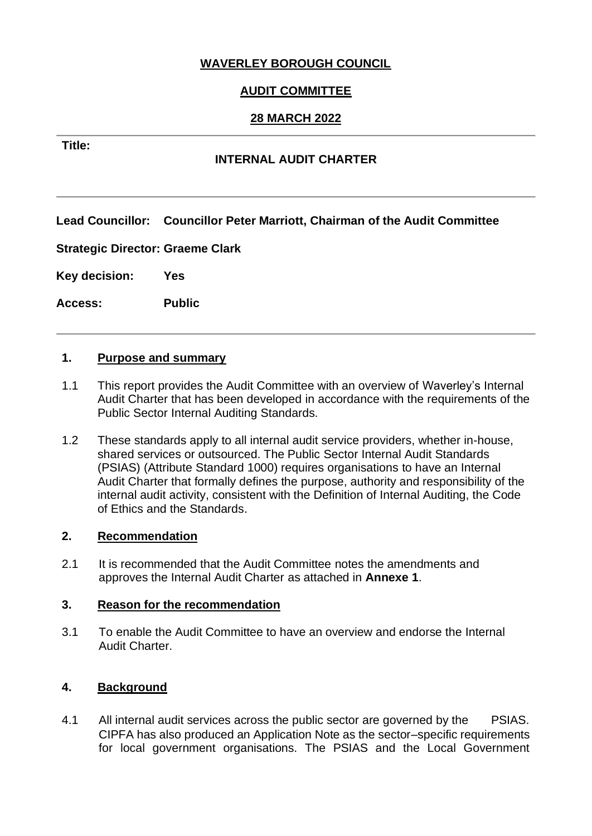## **WAVERLEY BOROUGH COUNCIL**

# **AUDIT COMMITTEE**

## **28 MARCH 2022**

### **Title:**

## **INTERNAL AUDIT CHARTER**

**Lead Councillor: Councillor Peter Marriott, Chairman of the Audit Committee** 

**Strategic Director: Graeme Clark**

**Key decision: Yes**

**Access: Public**

#### **1. Purpose and summary**

- 1.1 This report provides the Audit Committee with an overview of Waverley's Internal Audit Charter that has been developed in accordance with the requirements of the Public Sector Internal Auditing Standards.
- 1.2 These standards apply to all internal audit service providers, whether in-house, shared services or outsourced. The Public Sector Internal Audit Standards (PSIAS) (Attribute Standard 1000) requires organisations to have an Internal Audit Charter that formally defines the purpose, authority and responsibility of the internal audit activity, consistent with the Definition of Internal Auditing, the Code of Ethics and the Standards.

#### **2. Recommendation**

2.1 It is recommended that the Audit Committee notes the amendments and approves the Internal Audit Charter as attached in **Annexe 1**.

#### **3. Reason for the recommendation**

3.1 To enable the Audit Committee to have an overview and endorse the Internal Audit Charter.

## **4. Background**

4.1 All internal audit services across the public sector are governed by the PSIAS. CIPFA has also produced an Application Note as the sector–specific requirements for local government organisations. The PSIAS and the Local Government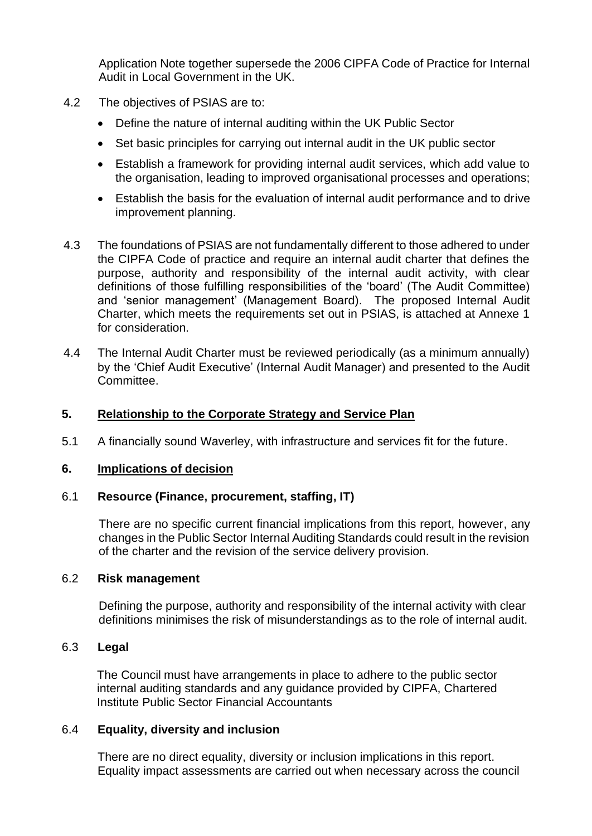Application Note together supersede the 2006 CIPFA Code of Practice for Internal Audit in Local Government in the UK.

- 4.2 The objectives of PSIAS are to:
	- Define the nature of internal auditing within the UK Public Sector
	- Set basic principles for carrying out internal audit in the UK public sector
	- Establish a framework for providing internal audit services, which add value to the organisation, leading to improved organisational processes and operations;
	- Establish the basis for the evaluation of internal audit performance and to drive improvement planning.
- 4.3 The foundations of PSIAS are not fundamentally different to those adhered to under the CIPFA Code of practice and require an internal audit charter that defines the purpose, authority and responsibility of the internal audit activity, with clear definitions of those fulfilling responsibilities of the 'board' (The Audit Committee) and 'senior management' (Management Board). The proposed Internal Audit Charter, which meets the requirements set out in PSIAS, is attached at Annexe 1 for consideration.
- 4.4 The Internal Audit Charter must be reviewed periodically (as a minimum annually) by the 'Chief Audit Executive' (Internal Audit Manager) and presented to the Audit Committee.

## **5. Relationship to the Corporate Strategy and Service Plan**

5.1 A financially sound Waverley, with infrastructure and services fit for the future.

#### **6. Implications of decision**

## 6.1 **Resource (Finance, procurement, staffing, IT)**

There are no specific current financial implications from this report, however, any changes in the Public Sector Internal Auditing Standards could result in the revision of the charter and the revision of the service delivery provision.

#### 6.2 **Risk management**

Defining the purpose, authority and responsibility of the internal activity with clear definitions minimises the risk of misunderstandings as to the role of internal audit.

## 6.3 **Legal**

The Council must have arrangements in place to adhere to the public sector internal auditing standards and any guidance provided by CIPFA, Chartered Institute Public Sector Financial Accountants

#### 6.4 **Equality, diversity and inclusion**

There are no direct equality, diversity or inclusion implications in this report. Equality impact assessments are carried out when necessary across the council